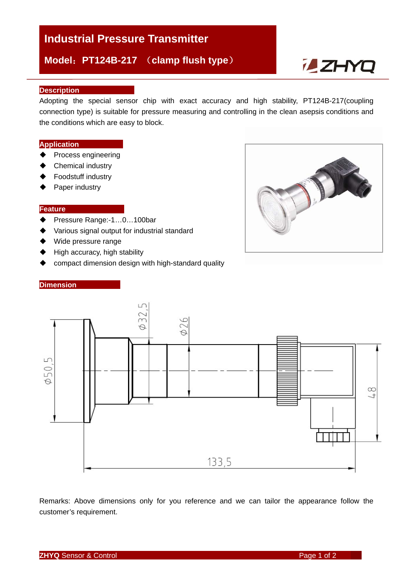# **Industrial Pressure Transmitter**

**Model**:**PT124B-217** (**clamp flush type**)

# **i\_ZHYQ**

### **Description**

Adopting the special sensor chip with exact accuracy and high stability, PT124B-217(coupling connection type) is suitable for pressure measuring and controlling in the clean asepsis conditions and the conditions which are easy to block.

#### **Application**

- ◆ Process engineering
- ◆ Chemical industry
- ◆ Foodstuff industry
- ◆ Paper industry

# **Feature**

- ◆ Pressure Range:-1...0...100bar
- Various signal output for industrial standard
- ◆ Wide pressure range
- $\blacklozenge$  High accuracy, high stability
- compact dimension design with high-standard quality

#### **Dimension**





Remarks: Above dimensions only for you reference and we can tailor the appearance follow the customer's requirement.